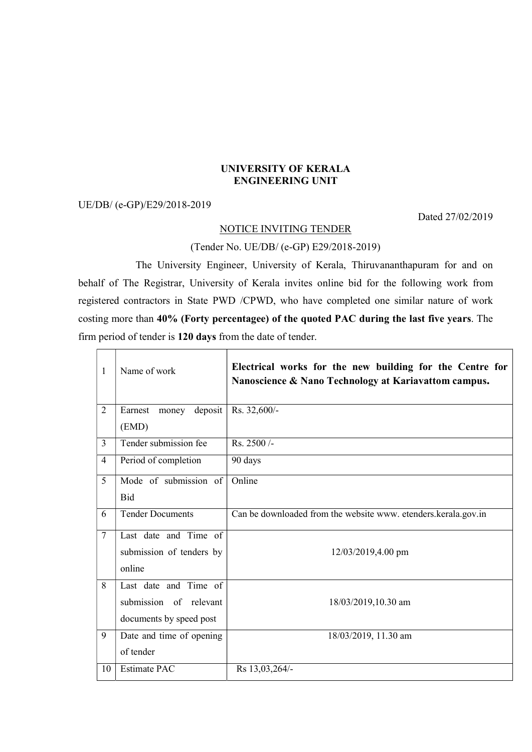#### UNIVERSITY OF KERALA ENGINEERING UNIT

### UE/DB/ (e-GP)/E29/2018-2019

Dated 27/02/2019

#### NOTICE INVITING TENDER

# (Tender No. UE/DB/ (e-GP) E29/2018-2019)

 The University Engineer, University of Kerala, Thiruvananthapuram for and on behalf of The Registrar, University of Kerala invites online bid for the following work from registered contractors in State PWD /CPWD, who have completed one similar nature of work costing more than 40% (Forty percentagee) of the quoted PAC during the last five years. The firm period of tender is 120 days from the date of tender.

| 1              | Name of work                | Electrical works for the new building for the Centre for<br>Nanoscience & Nano Technology at Kariavattom campus. |
|----------------|-----------------------------|------------------------------------------------------------------------------------------------------------------|
| $\overline{2}$ | deposit<br>Earnest<br>money | Rs. 32,600/-                                                                                                     |
|                | (EMD)                       |                                                                                                                  |
| 3              | Tender submission fee       | Rs. 2500/-                                                                                                       |
| 4              | Period of completion        | 90 days                                                                                                          |
| 5              | Mode of submission of       | Online                                                                                                           |
|                | Bid                         |                                                                                                                  |
| 6              | <b>Tender Documents</b>     | Can be downloaded from the website www. etenders.kerala.gov.in                                                   |
| 7              | Last date and Time of       |                                                                                                                  |
|                | submission of tenders by    | 12/03/2019,4.00 pm                                                                                               |
|                | online                      |                                                                                                                  |
| 8              | Last date and Time of       |                                                                                                                  |
|                | submission of relevant      | 18/03/2019,10.30 am                                                                                              |
|                | documents by speed post     |                                                                                                                  |
| 9              | Date and time of opening    | 18/03/2019, 11.30 am                                                                                             |
|                | of tender                   |                                                                                                                  |
| 10             | <b>Estimate PAC</b>         | Rs 13,03,264/-                                                                                                   |